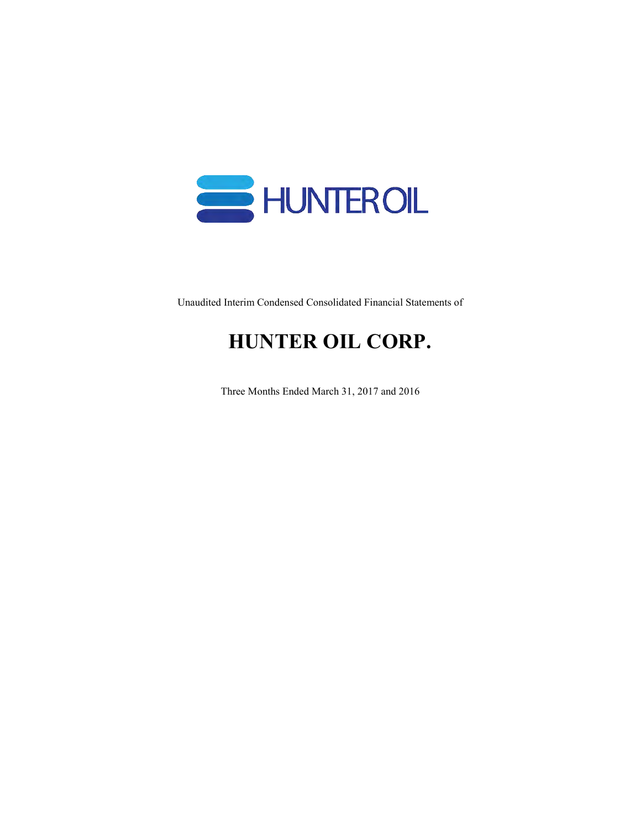

Unaudited Interim Condensed Consolidated Financial Statements of

# **HUNTER OIL CORP.**

Three Months Ended March 31, 2017 and 2016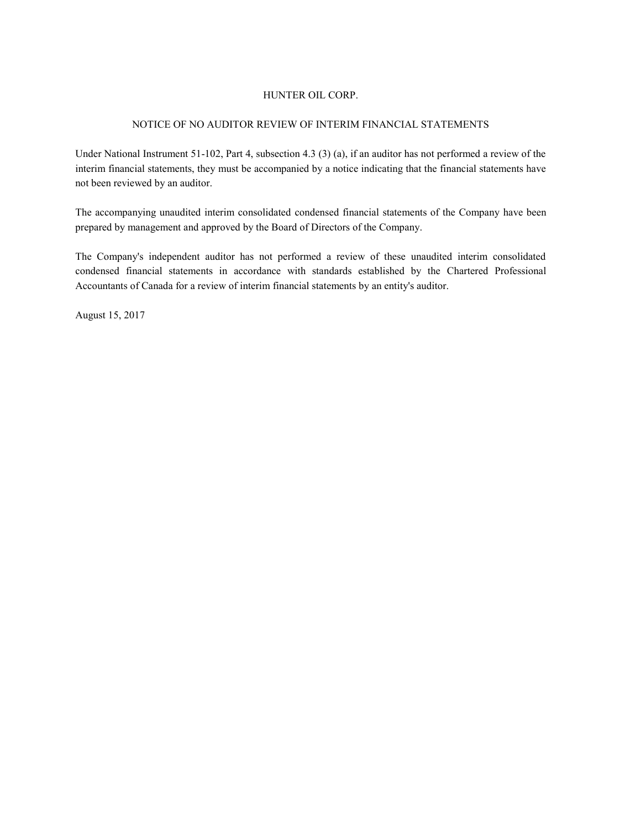### NOTICE OF NO AUDITOR REVIEW OF INTERIM FINANCIAL STATEMENTS

Under National Instrument 51-102, Part 4, subsection 4.3 (3) (a), if an auditor has not performed a review of the interim financial statements, they must be accompanied by a notice indicating that the financial statements have not been reviewed by an auditor.

The accompanying unaudited interim consolidated condensed financial statements of the Company have been prepared by management and approved by the Board of Directors of the Company.

The Company's independent auditor has not performed a review of these unaudited interim consolidated condensed financial statements in accordance with standards established by the Chartered Professional Accountants of Canada for a review of interim financial statements by an entity's auditor.

August 15, 2017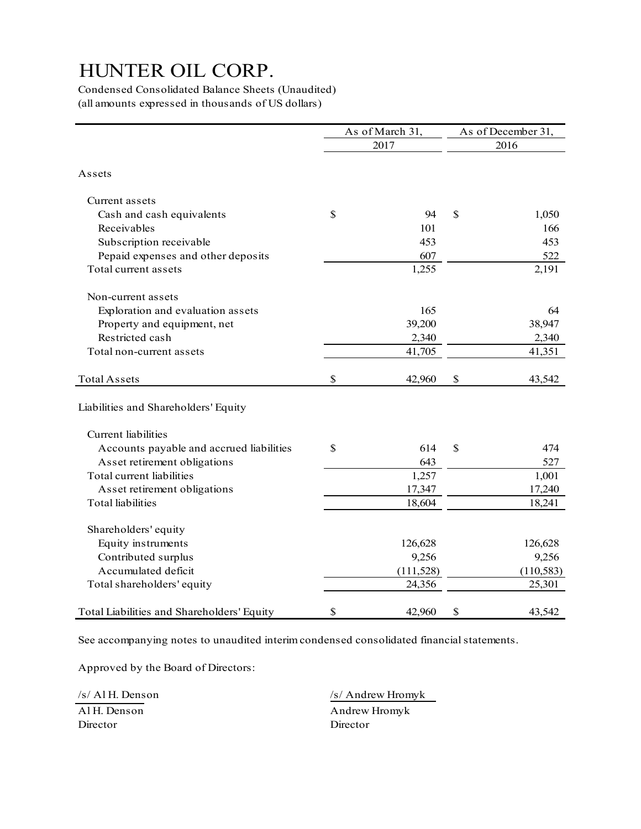| Condensed Consolidated Balance Sheets (Unaudited)  |                 |            |                    |
|----------------------------------------------------|-----------------|------------|--------------------|
| (all amounts expressed in thousands of US dollars) |                 |            |                    |
|                                                    |                 |            |                    |
|                                                    | As of March 31, |            | As of December 31, |
|                                                    |                 | 2017       | 2016               |
| Assets                                             |                 |            |                    |
| Current assets                                     |                 |            |                    |
| Cash and cash equivalents                          | $\mathbb{S}$    | 94         | \$<br>1,050        |
| Receivables                                        |                 | 101        | 166                |
| Subscription receivable                            |                 | 453        | 453                |
| Pepaid expenses and other deposits                 |                 | 607        | 522                |
| Total current assets                               |                 | 1,255      | 2,191              |
| Non-current assets                                 |                 |            |                    |
| Exploration and evaluation assets                  |                 | 165        | 64                 |
| Property and equipment, net                        |                 | 39,200     | 38,947             |
| Restricted cash                                    |                 | 2,340      | 2,340              |
| Total non-current assets                           |                 | 41,705     | 41,351             |
| <b>Total Assets</b>                                | \$              | 42,960     | \$<br>43,542       |
| Liabilities and Shareholders' Equity               |                 |            |                    |
| <b>Current</b> liabilities                         |                 |            |                    |
| Accounts payable and accrued liabilities           | \$              | 614        | \$<br>474          |
| Asset retirement obligations                       |                 | 643        | 527                |
| Total current liabilities                          |                 | 1,257      | 1,001              |
| Asset retirement obligations                       |                 | 17,347     | 17,240             |
| Total liabilities                                  |                 | 18,604     | 18,241             |
| Shareholders' equity                               |                 |            |                    |
| Equity instruments                                 |                 | 126,628    | 126,628            |
| Contributed surplus                                |                 | 9,256      | 9,256              |
| Accumulated deficit                                |                 | (111, 528) | (110, 583)         |
| Total shareholders' equity                         |                 | 24,356     | 25,301             |
| Total Liabilities and Shareholders' Equity         | \$              | 42,960     | \$<br>43,542       |

See accompanying notes to unaudited interim condensed consolidated financial statements.

Approved by the Board of Directors:

Director Director

/s/ Al H. Denson /s/ Andrew Hromyk Al H. Denson Andrew Hromyk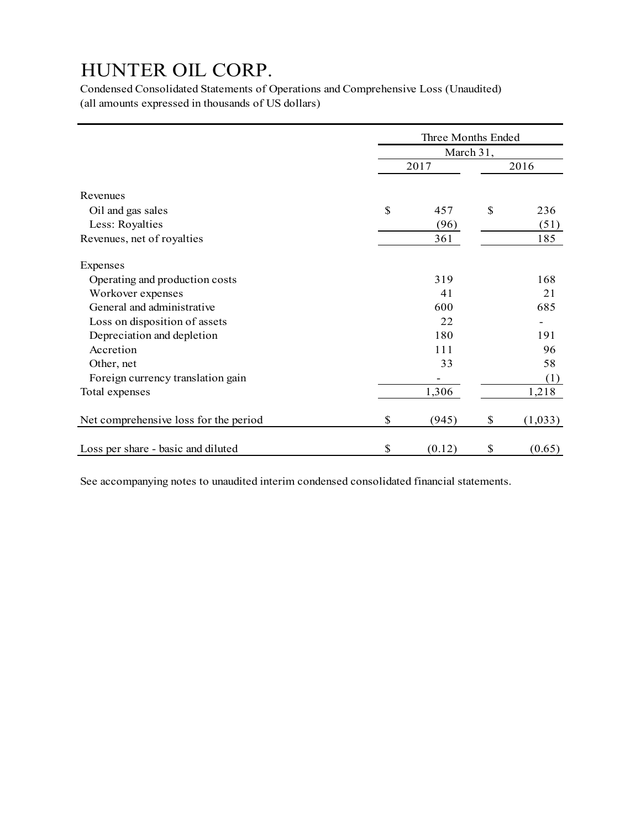Condensed Consolidated Statements of Operations and Comprehensive Loss (Unaudited) (all amounts expressed in thousands of US dollars)

|                                       |           | Three Months Ended |    |         |  |  |  |  |
|---------------------------------------|-----------|--------------------|----|---------|--|--|--|--|
|                                       | March 31, |                    |    |         |  |  |  |  |
|                                       |           | 2017               |    |         |  |  |  |  |
| Revenues                              |           |                    |    |         |  |  |  |  |
| Oil and gas sales                     | \$        | 457                | \$ | 236     |  |  |  |  |
| Less: Royalties                       |           | (96)               |    | (51)    |  |  |  |  |
| Revenues, net of royalties            |           | 361                |    | 185     |  |  |  |  |
| Expenses                              |           |                    |    |         |  |  |  |  |
| Operating and production costs        |           | 319                |    | 168     |  |  |  |  |
| Workover expenses                     |           | 41                 |    | 21      |  |  |  |  |
| General and administrative            |           | 600                |    | 685     |  |  |  |  |
| Loss on disposition of assets         |           | 22                 |    |         |  |  |  |  |
| Depreciation and depletion            |           | 180                |    | 191     |  |  |  |  |
| Accretion                             |           | 111                |    | 96      |  |  |  |  |
| Other, net                            |           | 33                 |    | 58      |  |  |  |  |
| Foreign currency translation gain     |           |                    |    | (1)     |  |  |  |  |
| Total expenses                        |           | 1,306              |    | 1,218   |  |  |  |  |
| Net comprehensive loss for the period | \$        | (945)              | \$ | (1,033) |  |  |  |  |
| Loss per share - basic and diluted    | \$        | (0.12)             | \$ | (0.65)  |  |  |  |  |

See accompanying notes to unaudited interim condensed consolidated financial statements.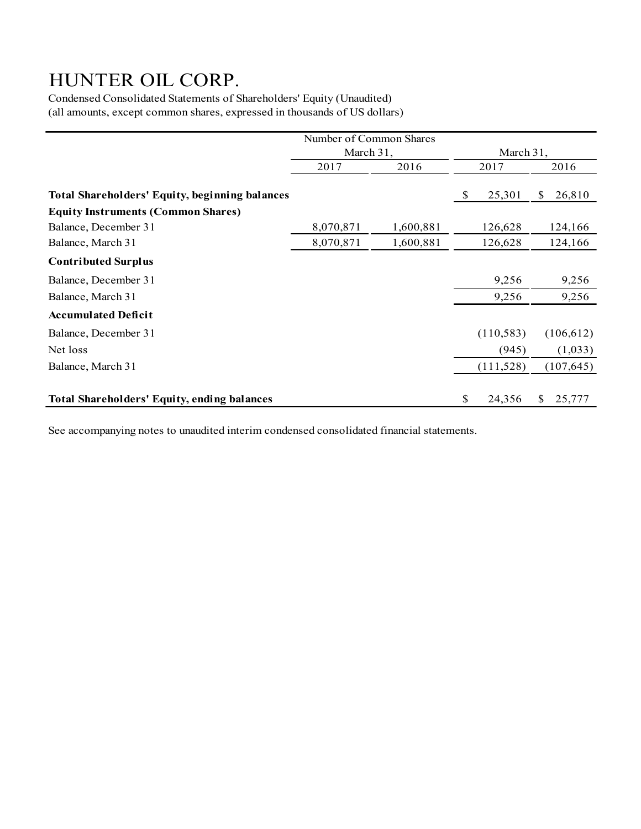Condensed Consolidated Statements of Shareholders' Equity (Unaudited) (all amounts, except common shares, expressed in thousands of US dollars)

|                                                       | Number of Common Shares |           |      |            |              |  |
|-------------------------------------------------------|-------------------------|-----------|------|------------|--------------|--|
|                                                       | March 31,               |           |      | March 31,  |              |  |
|                                                       | 2017                    | 2016      | 2017 |            | 2016         |  |
|                                                       |                         |           |      |            |              |  |
| <b>Total Shareholders' Equity, beginning balances</b> |                         |           | \$   | 25,301     | 26,810<br>S  |  |
| <b>Equity Instruments (Common Shares)</b>             |                         |           |      |            |              |  |
| Balance, December 31                                  | 8,070,871               | 1,600,881 |      | 126,628    | 124,166      |  |
| Balance, March 31                                     | 8,070,871               | 1,600,881 |      | 126,628    | 124,166      |  |
| <b>Contributed Surplus</b>                            |                         |           |      |            |              |  |
| Balance, December 31                                  |                         |           |      | 9,256      | 9,256        |  |
| Balance, March 31                                     |                         |           |      | 9,256      | 9,256        |  |
| <b>Accumulated Deficit</b>                            |                         |           |      |            |              |  |
| Balance, December 31                                  |                         |           |      | (110, 583) | (106, 612)   |  |
| Net loss                                              |                         |           |      | (945)      | (1,033)      |  |
| Balance, March 31                                     |                         |           |      | (111, 528) | (107, 645)   |  |
|                                                       |                         |           |      |            |              |  |
| <b>Total Shareholders' Equity, ending balances</b>    |                         |           | \$   | 24,356     | 25,777<br>S. |  |

See accompanying notes to unaudited interim condensed consolidated financial statements.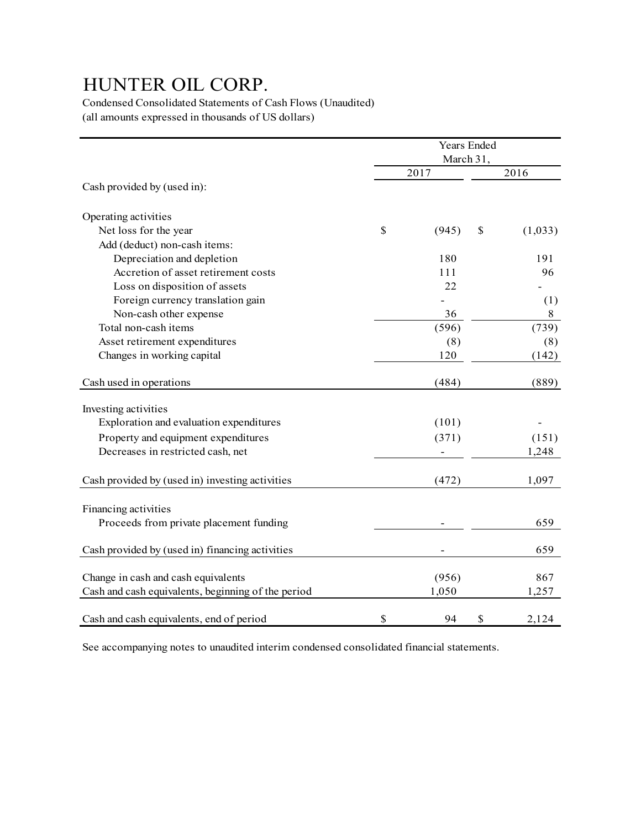Condensed Consolidated Statements of Cash Flows (Unaudited) (all amounts expressed in thousands of US dollars)

|                                                    | Years Ended<br>March 31, |                              |               |  |  |  |
|----------------------------------------------------|--------------------------|------------------------------|---------------|--|--|--|
|                                                    | 2017                     | 2016                         |               |  |  |  |
| Cash provided by (used in):                        |                          |                              |               |  |  |  |
| Operating activities                               |                          |                              |               |  |  |  |
| Net loss for the year                              | \$                       | (945)                        | \$<br>(1,033) |  |  |  |
| Add (deduct) non-cash items:                       |                          |                              |               |  |  |  |
| Depreciation and depletion                         |                          | 180                          | 191           |  |  |  |
| Accretion of asset retirement costs                |                          | 111                          | 96            |  |  |  |
| Loss on disposition of assets                      |                          | 22                           |               |  |  |  |
| Foreign currency translation gain                  |                          |                              | (1)           |  |  |  |
| Non-cash other expense                             |                          | 36                           | 8             |  |  |  |
| Total non-cash items                               |                          | (596)                        | (739)         |  |  |  |
| Asset retirement expenditures                      |                          | (8)                          | (8)           |  |  |  |
| Changes in working capital                         |                          | 120                          | (142)         |  |  |  |
| Cash used in operations                            |                          | (484)                        | (889)         |  |  |  |
| Investing activities                               |                          |                              |               |  |  |  |
| Exploration and evaluation expenditures            |                          | (101)                        |               |  |  |  |
| Property and equipment expenditures                |                          | (371)                        | (151)         |  |  |  |
| Decreases in restricted cash, net                  |                          | $\qquad \qquad \blacksquare$ | 1,248         |  |  |  |
|                                                    |                          |                              |               |  |  |  |
| Cash provided by (used in) investing activities    |                          | (472)                        | 1,097         |  |  |  |
| Financing activities                               |                          |                              |               |  |  |  |
| Proceeds from private placement funding            |                          |                              | 659           |  |  |  |
| Cash provided by (used in) financing activities    |                          |                              | 659           |  |  |  |
|                                                    |                          |                              |               |  |  |  |
| Change in cash and cash equivalents                |                          | (956)                        | 867           |  |  |  |
| Cash and cash equivalents, beginning of the period |                          | 1,050                        | 1,257         |  |  |  |
| Cash and cash equivalents, end of period           | \$                       | 94                           | \$<br>2,124   |  |  |  |

See accompanying notes to unaudited interim condensed consolidated financial statements.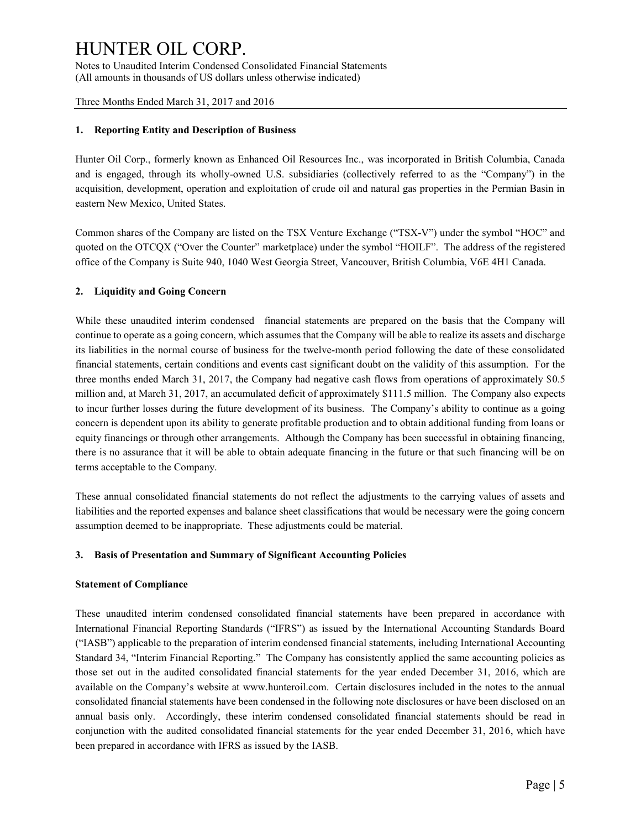Notes to Unaudited Interim Condensed Consolidated Financial Statements (All amounts in thousands of US dollars unless otherwise indicated)

Three Months Ended March 31, 2017 and 2016

### **1. Reporting Entity and Description of Business**

Hunter Oil Corp., formerly known as Enhanced Oil Resources Inc., was incorporated in British Columbia, Canada and is engaged, through its wholly-owned U.S. subsidiaries (collectively referred to as the "Company") in the acquisition, development, operation and exploitation of crude oil and natural gas properties in the Permian Basin in eastern New Mexico, United States.

Common shares of the Company are listed on the TSX Venture Exchange ("TSX-V") under the symbol "HOC" and quoted on the OTCQX ("Over the Counter" marketplace) under the symbol "HOILF". The address of the registered office of the Company is Suite 940, 1040 West Georgia Street, Vancouver, British Columbia, V6E 4H1 Canada.

# **2. Liquidity and Going Concern**

While these unaudited interim condensed financial statements are prepared on the basis that the Company will continue to operate as a going concern, which assumes that the Company will be able to realize its assets and discharge its liabilities in the normal course of business for the twelve-month period following the date of these consolidated financial statements, certain conditions and events cast significant doubt on the validity of this assumption. For the three months ended March 31, 2017, the Company had negative cash flows from operations of approximately \$0.5 million and, at March 31, 2017, an accumulated deficit of approximately \$111.5 million. The Company also expects to incur further losses during the future development of its business. The Company's ability to continue as a going concern is dependent upon its ability to generate profitable production and to obtain additional funding from loans or equity financings or through other arrangements. Although the Company has been successful in obtaining financing, there is no assurance that it will be able to obtain adequate financing in the future or that such financing will be on terms acceptable to the Company.

These annual consolidated financial statements do not reflect the adjustments to the carrying values of assets and liabilities and the reported expenses and balance sheet classifications that would be necessary were the going concern assumption deemed to be inappropriate. These adjustments could be material.

#### **3. Basis of Presentation and Summary of Significant Accounting Policies**

#### **Statement of Compliance**

These unaudited interim condensed consolidated financial statements have been prepared in accordance with International Financial Reporting Standards ("IFRS") as issued by the International Accounting Standards Board ("IASB") applicable to the preparation of interim condensed financial statements, including International Accounting Standard 34, "Interim Financial Reporting." The Company has consistently applied the same accounting policies as those set out in the audited consolidated financial statements for the year ended December 31, 2016, which are available on the Company's website at www.hunteroil.com. Certain disclosures included in the notes to the annual consolidated financial statements have been condensed in the following note disclosures or have been disclosed on an annual basis only. Accordingly, these interim condensed consolidated financial statements should be read in conjunction with the audited consolidated financial statements for the year ended December 31, 2016, which have been prepared in accordance with IFRS as issued by the IASB.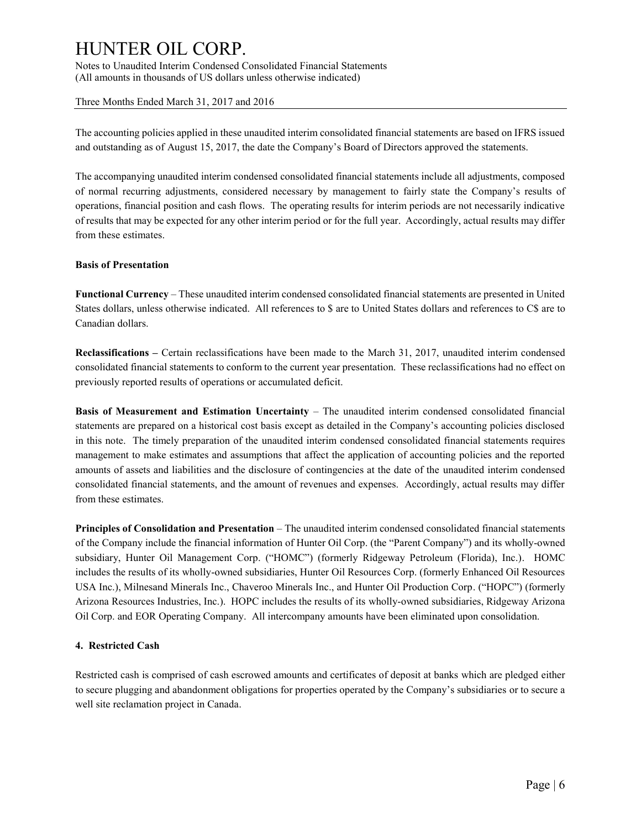Notes to Unaudited Interim Condensed Consolidated Financial Statements (All amounts in thousands of US dollars unless otherwise indicated)

Three Months Ended March 31, 2017 and 2016

The accounting policies applied in these unaudited interim consolidated financial statements are based on IFRS issued and outstanding as of August 15, 2017, the date the Company's Board of Directors approved the statements.

The accompanying unaudited interim condensed consolidated financial statements include all adjustments, composed of normal recurring adjustments, considered necessary by management to fairly state the Company's results of operations, financial position and cash flows. The operating results for interim periods are not necessarily indicative of results that may be expected for any other interim period or for the full year. Accordingly, actual results may differ from these estimates.

### **Basis of Presentation**

**Functional Currency** – These unaudited interim condensed consolidated financial statements are presented in United States dollars, unless otherwise indicated. All references to \$ are to United States dollars and references to C\$ are to Canadian dollars.

**Reclassifications –** Certain reclassifications have been made to the March 31, 2017, unaudited interim condensed consolidated financial statements to conform to the current year presentation. These reclassifications had no effect on previously reported results of operations or accumulated deficit.

**Basis of Measurement and Estimation Uncertainty** – The unaudited interim condensed consolidated financial statements are prepared on a historical cost basis except as detailed in the Company's accounting policies disclosed in this note. The timely preparation of the unaudited interim condensed consolidated financial statements requires management to make estimates and assumptions that affect the application of accounting policies and the reported amounts of assets and liabilities and the disclosure of contingencies at the date of the unaudited interim condensed consolidated financial statements, and the amount of revenues and expenses. Accordingly, actual results may differ from these estimates.

**Principles of Consolidation and Presentation** – The unaudited interim condensed consolidated financial statements of the Company include the financial information of Hunter Oil Corp. (the "Parent Company") and its wholly-owned subsidiary, Hunter Oil Management Corp. ("HOMC") (formerly Ridgeway Petroleum (Florida), Inc.). HOMC includes the results of its wholly-owned subsidiaries, Hunter Oil Resources Corp. (formerly Enhanced Oil Resources USA Inc.), Milnesand Minerals Inc., Chaveroo Minerals Inc., and Hunter Oil Production Corp. ("HOPC") (formerly Arizona Resources Industries, Inc.). HOPC includes the results of its wholly-owned subsidiaries, Ridgeway Arizona Oil Corp. and EOR Operating Company. All intercompany amounts have been eliminated upon consolidation.

# **4. Restricted Cash**

Restricted cash is comprised of cash escrowed amounts and certificates of deposit at banks which are pledged either to secure plugging and abandonment obligations for properties operated by the Company's subsidiaries or to secure a well site reclamation project in Canada.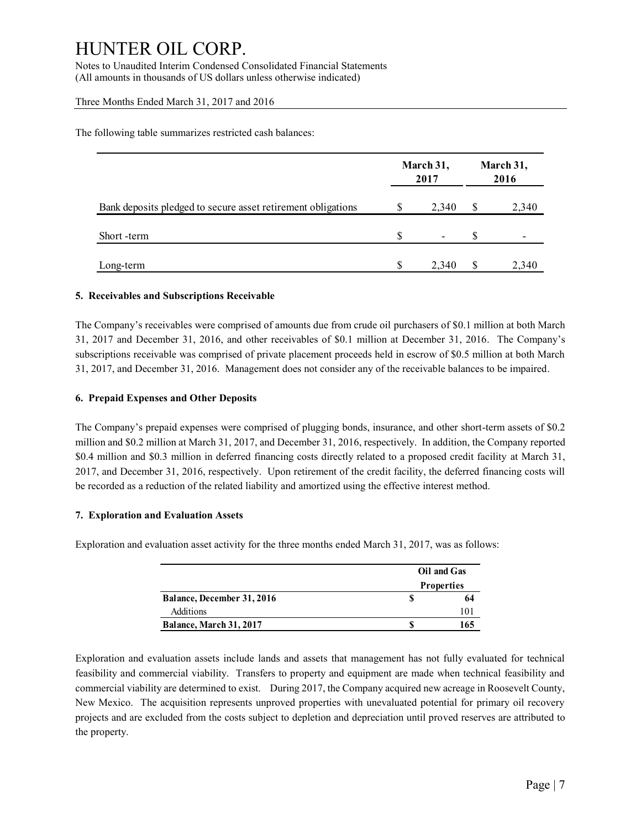Notes to Unaudited Interim Condensed Consolidated Financial Statements (All amounts in thousands of US dollars unless otherwise indicated)

### Three Months Ended March 31, 2017 and 2016

The following table summarizes restricted cash balances:

|                                                              |     | March 31,<br>2017 | March 31,<br>2016 |       |  |
|--------------------------------------------------------------|-----|-------------------|-------------------|-------|--|
| Bank deposits pledged to secure asset retirement obligations | S   | 2,340             | S                 | 2,340 |  |
| Short-term                                                   | \$. |                   |                   |       |  |
| Long-term                                                    | S   | 2,340             | S                 | 2,340 |  |

### **5. Receivables and Subscriptions Receivable**

The Company's receivables were comprised of amounts due from crude oil purchasers of \$0.1 million at both March 31, 2017 and December 31, 2016, and other receivables of \$0.1 million at December 31, 2016. The Company's subscriptions receivable was comprised of private placement proceeds held in escrow of \$0.5 million at both March 31, 2017, and December 31, 2016. Management does not consider any of the receivable balances to be impaired.

### **6. Prepaid Expenses and Other Deposits**

The Company's prepaid expenses were comprised of plugging bonds, insurance, and other short-term assets of \$0.2 million and \$0.2 million at March 31, 2017, and December 31, 2016, respectively. In addition, the Company reported \$0.4 million and \$0.3 million in deferred financing costs directly related to a proposed credit facility at March 31, 2017, and December 31, 2016, respectively. Upon retirement of the credit facility, the deferred financing costs will be recorded as a reduction of the related liability and amortized using the effective interest method.

# **7. Exploration and Evaluation Assets**

Exploration and evaluation asset activity for the three months ended March 31, 2017, was as follows:

|                                   | Oil and Gas       |
|-----------------------------------|-------------------|
|                                   | <b>Properties</b> |
| <b>Balance, December 31, 2016</b> | 64                |
| Additions                         | 101               |
| Balance, March 31, 2017           |                   |

Exploration and evaluation assets include lands and assets that management has not fully evaluated for technical feasibility and commercial viability. Transfers to property and equipment are made when technical feasibility and commercial viability are determined to exist. During 2017, the Company acquired new acreage in Roosevelt County, New Mexico. The acquisition represents unproved properties with unevaluated potential for primary oil recovery projects and are excluded from the costs subject to depletion and depreciation until proved reserves are attributed to the property.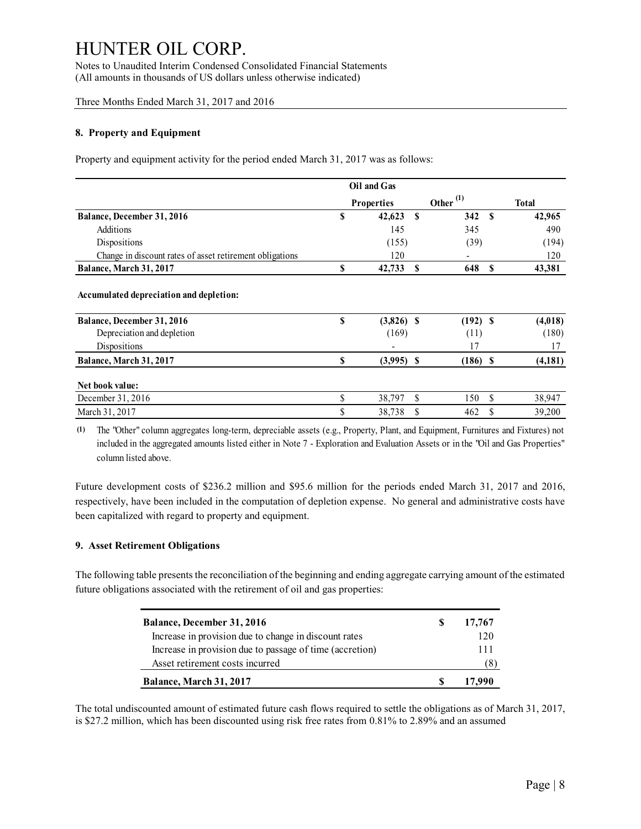Notes to Unaudited Interim Condensed Consolidated Financial Statements (All amounts in thousands of US dollars unless otherwise indicated)

Three Months Ended March 31, 2017 and 2016

#### **8. Property and Equipment**

Property and equipment activity for the period ended March 31, 2017 was as follows:

|                                                          | Oil and Gas                 |              |                    |               |                  |
|----------------------------------------------------------|-----------------------------|--------------|--------------------|---------------|------------------|
|                                                          | <b>Properties</b>           |              | Other $^{(1)}$     |               | <b>Total</b>     |
| Balance, December 31, 2016                               | \$<br>42,623                | $\mathbf{s}$ | 342                | $\mathbf{s}$  | 42,965           |
| Additions                                                | 145                         |              | 345                |               | 490              |
| Dispositions                                             | (155)                       |              | (39)               |               | (194)            |
| Change in discount rates of asset retirement obligations | 120                         |              |                    |               | 120              |
| Balance, March 31, 2017                                  | \$<br>42,733                | \$.          | 648                | <b>S</b>      | 43,381           |
|                                                          |                             |              |                    |               |                  |
|                                                          |                             |              |                    |               |                  |
| Balance, December 31, 2016<br>Depreciation and depletion | \$<br>$(3,826)$ \$<br>(169) |              | $(192)$ \$<br>(11) |               | (4,018)<br>(180) |
| Dispositions                                             |                             |              | 17                 |               | 17               |
| Balance, March 31, 2017                                  | \$<br>$(3,995)$ \$          |              | $(186)$ \$         |               | (4, 181)         |
| Net book value:                                          |                             |              |                    |               |                  |
| December 31, 2016                                        | \$<br>38,797                | \$           | 150                | <sup>\$</sup> | 38,947           |

mber 31, 2016 <br>
S 38,797 \$ 150 \$ 38,947<br>
The "Other" column aggregates long-term, depreciable assets (e.g., Property, Plant, and Equipment, Furnitures and Fixtures) not<br>
included in the aggregated amounts listed either in column listed above.

Future development costs of \$236.2 million and \$95.6 million for the periods ended March 31, 2017 and 2016, respectively, have been included in the computation of depletion expense. No general and administrative costs have been capitalized with regard to property and equipment.

# **9. Asset Retirement Obligations**

The following table presents the reconciliation of the beginning and ending aggregate carrying amount of the estimated future obligations associated with the retirement of oil and gas properties:

| <b>Balance, December 31, 2016</b>                        | 17,767 |
|----------------------------------------------------------|--------|
| Increase in provision due to change in discount rates    | 120    |
| Increase in provision due to passage of time (accretion) | 111    |
| Asset retirement costs incurred                          |        |
| Balance, March 31, 2017                                  |        |

The total undiscounted amount of estimated future cash flows required to settle the obligations as of March 31, 2017, is \$27.2 million, which has been discounted using risk free rates from 0.81% to 2.89% and an assumed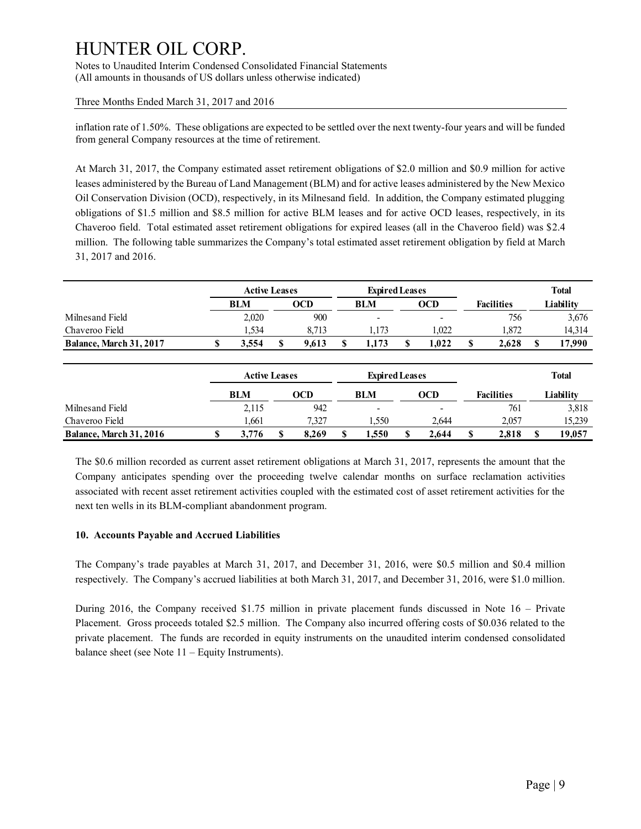Notes to Unaudited Interim Condensed Consolidated Financial Statements (All amounts in thousands of US dollars unless otherwise indicated)

### Three Months Ended March 31, 2017 and 2016

inflation rate of 1.50%. These obligations are expected to be settled over the next twenty-four years and will be funded from general Company resources at the time of retirement.

At March 31, 2017, the Company estimated asset retirement obligations of \$2.0 million and \$0.9 million for active leases administered by the Bureau of Land Management (BLM) and for active leases administered by the New Mexico Oil Conservation Division (OCD), respectively, in its Milnesand field. In addition, the Company estimated plugging obligations of \$1.5 million and \$8.5 million for active BLM leases and for active OCD leases, respectively, in its Chaveroo field. Total estimated asset retirement obligations for expired leases (all in the Chaveroo field) was \$2.4 million. The following table summarizes the Company's total estimated asset retirement obligation by field at March 31, 2017 and 2016.

| 31, 2017 and 2016.      |                      |            |  |                       |  |                          |  |            |  |                   |              |
|-------------------------|----------------------|------------|--|-----------------------|--|--------------------------|--|------------|--|-------------------|--------------|
|                         | <b>Active Leases</b> |            |  | <b>Expired Leases</b> |  |                          |  |            |  |                   | <b>Total</b> |
|                         |                      | <b>BLM</b> |  | <b>OCD</b>            |  | <b>BLM</b>               |  | <b>OCD</b> |  | <b>Facilities</b> | Liability    |
| Milnesand Field         |                      | 2,020      |  | 900                   |  | $\overline{\phantom{0}}$ |  |            |  | 756               | 3,676        |
| Chaveroo Field          |                      | 1.534      |  | 8.713                 |  | 1.173                    |  | 1.022      |  | 1.872             | 14,314       |
| Balance, March 31, 2017 |                      | 3,554      |  | 9,613                 |  | 1.173                    |  | 1,022      |  | 2,628             | 17,990       |

| Dalance, March 91, 2017        | J. | J.JJ4      | D                    | 7.01J      | v. | 1,179      | ٠п                    | 1.V44      | 4.040             | D            | 17,990    |
|--------------------------------|----|------------|----------------------|------------|----|------------|-----------------------|------------|-------------------|--------------|-----------|
|                                |    |            | <b>Active Leases</b> |            |    |            | <b>Expired Leases</b> |            |                   | <b>Total</b> |           |
|                                |    | <b>BLM</b> |                      | <b>OCD</b> |    | <b>BLM</b> |                       | <b>OCD</b> | <b>Facilities</b> |              | Liability |
| Milnesand Field                |    | 2,115      |                      | 942        |    | -          |                       |            | 761               |              | 3,818     |
| Chaveroo Field                 |    | .661       |                      | 7.327      |    | 1,550      |                       | 2.644      | 2,057             |              | 15,239    |
| <b>Balance, March 31, 2016</b> |    | 3,776      |                      | 8.269      |    | 1,550      |                       | 2.644      | 2,818             |              | 19,057    |

The \$0.6 million recorded as current asset retirement obligations at March 31, 2017, represents the amount that the Company anticipates spending over the proceeding twelve calendar months on surface reclamation activities associated with recent asset retirement activities coupled with the estimated cost of asset retirement activities for the next ten wells in its BLM-compliant abandonment program.

# **10. Accounts Payable and Accrued Liabilities**

The Company's trade payables at March 31, 2017, and December 31, 2016, were \$0.5 million and \$0.4 million respectively. The Company's accrued liabilities at both March 31, 2017, and December 31, 2016, were \$1.0 million.

During 2016, the Company received \$1.75 million in private placement funds discussed in Note 16 – Private Placement. Gross proceeds totaled \$2.5 million. The Company also incurred offering costs of \$0.036 related to the private placement. The funds are recorded in equity instruments on the unaudited interim condensed consolidated balance sheet (see Note 11 – Equity Instruments).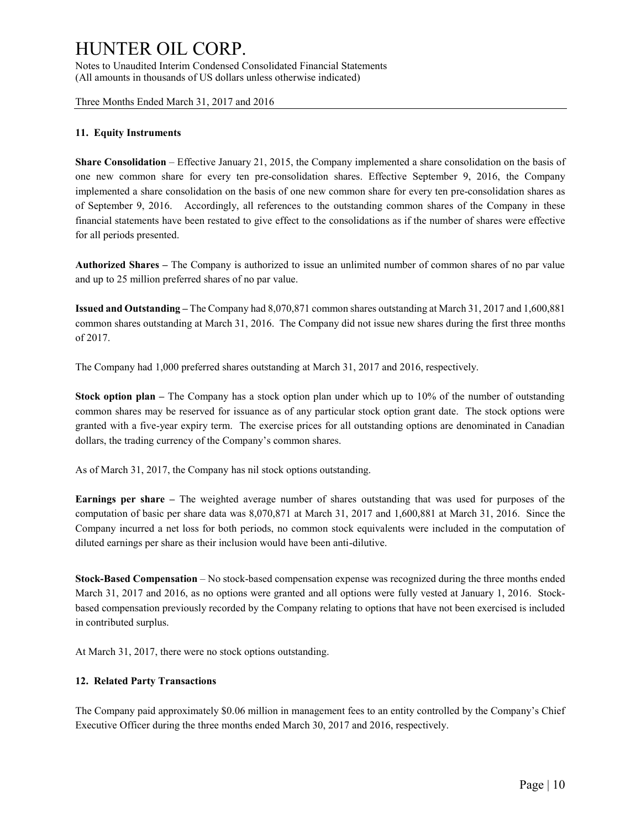Notes to Unaudited Interim Condensed Consolidated Financial Statements (All amounts in thousands of US dollars unless otherwise indicated)

Three Months Ended March 31, 2017 and 2016

#### **11. Equity Instruments**

**Share Consolidation** – Effective January 21, 2015, the Company implemented a share consolidation on the basis of one new common share for every ten pre-consolidation shares. Effective September 9, 2016, the Company implemented a share consolidation on the basis of one new common share for every ten pre-consolidation shares as of September 9, 2016. Accordingly, all references to the outstanding common shares of the Company in these financial statements have been restated to give effect to the consolidations as if the number of shares were effective for all periods presented.

**Authorized Shares –** The Company is authorized to issue an unlimited number of common shares of no par value and up to 25 million preferred shares of no par value.

**Issued and Outstanding –** The Company had 8,070,871 common shares outstanding at March 31, 2017 and 1,600,881 common shares outstanding at March 31, 2016. The Company did not issue new shares during the first three months of 2017.

The Company had 1,000 preferred shares outstanding at March 31, 2017 and 2016, respectively.

**Stock option plan –** The Company has a stock option plan under which up to 10% of the number of outstanding common shares may be reserved for issuance as of any particular stock option grant date. The stock options were granted with a five-year expiry term. The exercise prices for all outstanding options are denominated in Canadian dollars, the trading currency of the Company's common shares.

As of March 31, 2017, the Company has nil stock options outstanding.

**Earnings per share –** The weighted average number of shares outstanding that was used for purposes of the computation of basic per share data was 8,070,871 at March 31, 2017 and 1,600,881 at March 31, 2016. Since the Company incurred a net loss for both periods, no common stock equivalents were included in the computation of diluted earnings per share as their inclusion would have been anti-dilutive.

**Stock-Based Compensation** – No stock-based compensation expense was recognized during the three months ended March 31, 2017 and 2016, as no options were granted and all options were fully vested at January 1, 2016. Stockbased compensation previously recorded by the Company relating to options that have not been exercised is included in contributed surplus.

At March 31, 2017, there were no stock options outstanding.

#### **12. Related Party Transactions**

The Company paid approximately \$0.06 million in management fees to an entity controlled by the Company's Chief Executive Officer during the three months ended March 30, 2017 and 2016, respectively.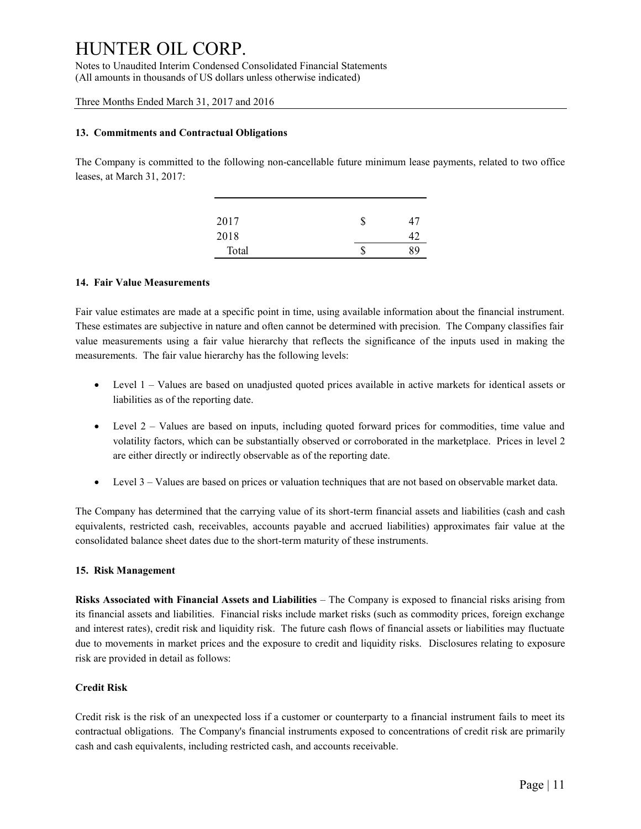Notes to Unaudited Interim Condensed Consolidated Financial Statements (All amounts in thousands of US dollars unless otherwise indicated)

Three Months Ended March 31, 2017 and 2016

### **13. Commitments and Contractual Obligations**

The Company is committed to the following non-cancellable future minimum lease payments, related to two office leases, at March 31, 2017:

| 2017  | S | 47 |
|-------|---|----|
| 2018  |   |    |
| Total | S | 89 |

### **14. Fair Value Measurements**

Fair value estimates are made at a specific point in time, using available information about the financial instrument. These estimates are subjective in nature and often cannot be determined with precision. The Company classifies fair value measurements using a fair value hierarchy that reflects the significance of the inputs used in making the measurements. The fair value hierarchy has the following levels:

- Level 1 Values are based on unadjusted quoted prices available in active markets for identical assets or liabilities as of the reporting date.
- Level 2 Values are based on inputs, including quoted forward prices for commodities, time value and volatility factors, which can be substantially observed or corroborated in the marketplace. Prices in level 2 are either directly or indirectly observable as of the reporting date.
- Level 3 Values are based on prices or valuation techniques that are not based on observable market data.

The Company has determined that the carrying value of its short-term financial assets and liabilities (cash and cash equivalents, restricted cash, receivables, accounts payable and accrued liabilities) approximates fair value at the consolidated balance sheet dates due to the short-term maturity of these instruments.

#### **15. Risk Management**

**Risks Associated with Financial Assets and Liabilities** – The Company is exposed to financial risks arising from its financial assets and liabilities. Financial risks include market risks (such as commodity prices, foreign exchange and interest rates), credit risk and liquidity risk. The future cash flows of financial assets or liabilities may fluctuate due to movements in market prices and the exposure to credit and liquidity risks. Disclosures relating to exposure risk are provided in detail as follows:

# **Credit Risk**

Credit risk is the risk of an unexpected loss if a customer or counterparty to a financial instrument fails to meet its contractual obligations. The Company's financial instruments exposed to concentrations of credit risk are primarily cash and cash equivalents, including restricted cash, and accounts receivable.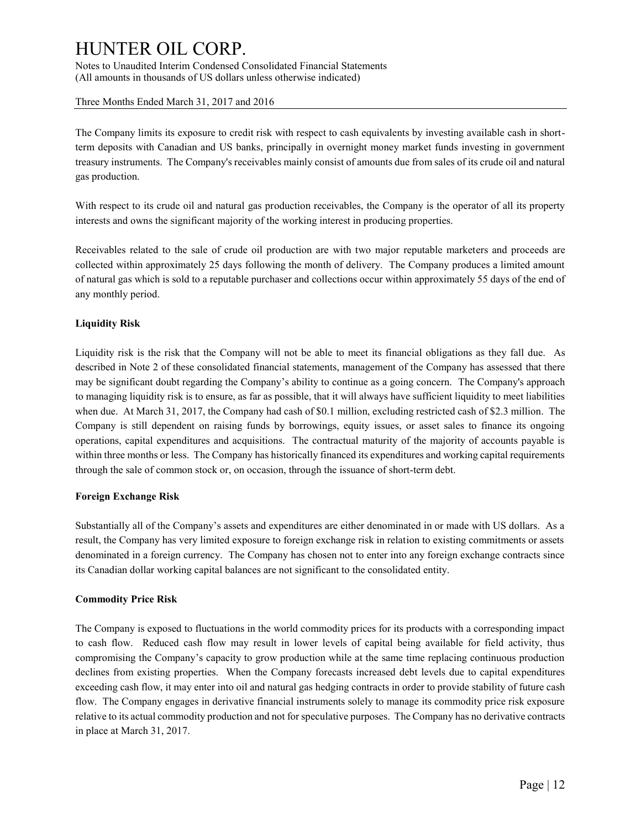Notes to Unaudited Interim Condensed Consolidated Financial Statements (All amounts in thousands of US dollars unless otherwise indicated)

Three Months Ended March 31, 2017 and 2016

The Company limits its exposure to credit risk with respect to cash equivalents by investing available cash in shortterm deposits with Canadian and US banks, principally in overnight money market funds investing in government treasury instruments. The Company's receivables mainly consist of amounts due from sales of its crude oil and natural gas production.

With respect to its crude oil and natural gas production receivables, the Company is the operator of all its property interests and owns the significant majority of the working interest in producing properties.

Receivables related to the sale of crude oil production are with two major reputable marketers and proceeds are collected within approximately 25 days following the month of delivery. The Company produces a limited amount of natural gas which is sold to a reputable purchaser and collections occur within approximately 55 days of the end of any monthly period.

# **Liquidity Risk**

Liquidity risk is the risk that the Company will not be able to meet its financial obligations as they fall due. As described in Note 2 of these consolidated financial statements, management of the Company has assessed that there may be significant doubt regarding the Company's ability to continue as a going concern. The Company's approach to managing liquidity risk is to ensure, as far as possible, that it will always have sufficient liquidity to meet liabilities when due. At March 31, 2017, the Company had cash of \$0.1 million, excluding restricted cash of \$2.3 million. The Company is still dependent on raising funds by borrowings, equity issues, or asset sales to finance its ongoing operations, capital expenditures and acquisitions. The contractual maturity of the majority of accounts payable is within three months or less. The Company has historically financed its expenditures and working capital requirements through the sale of common stock or, on occasion, through the issuance of short-term debt.

# **Foreign Exchange Risk**

Substantially all of the Company's assets and expenditures are either denominated in or made with US dollars. As a result, the Company has very limited exposure to foreign exchange risk in relation to existing commitments or assets denominated in a foreign currency. The Company has chosen not to enter into any foreign exchange contracts since its Canadian dollar working capital balances are not significant to the consolidated entity.

# **Commodity Price Risk**

The Company is exposed to fluctuations in the world commodity prices for its products with a corresponding impact to cash flow. Reduced cash flow may result in lower levels of capital being available for field activity, thus compromising the Company's capacity to grow production while at the same time replacing continuous production declines from existing properties. When the Company forecasts increased debt levels due to capital expenditures exceeding cash flow, it may enter into oil and natural gas hedging contracts in order to provide stability of future cash flow. The Company engages in derivative financial instruments solely to manage its commodity price risk exposure relative to its actual commodity production and not for speculative purposes. The Company has no derivative contracts in place at March 31, 2017.